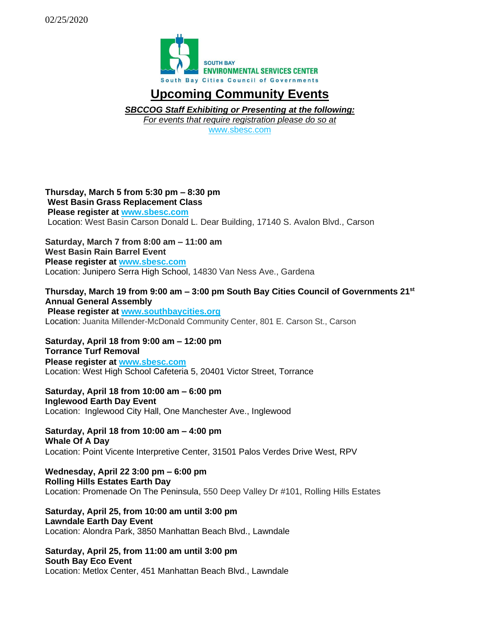

## **Upcoming Community Events**

*SBCCOG Staff Exhibiting or Presenting at the following: For events that require registration please do so at* 

[www.sbesc.com](http://www.sbesc.com/)

## **Thursday, March 5 from 5:30 pm – 8:30 pm West Basin Grass Replacement Class Please register at [www.sbesc.com](http://www.sbesc.com/)** Location: West Basin Carson Donald L. Dear Building, 17140 S. Avalon Blvd., Carson

**Saturday, March 7 from 8:00 am – 11:00 am West Basin Rain Barrel Event Please register at [www.sbesc.com](http://www.sbesc.com/)** Location: Junipero Serra High School, 14830 Van Ness Ave., Gardena

## **Thursday, March 19 from 9:00 am – 3:00 pm South Bay Cities Council of Governments 21st Annual General Assembly**

**Please register at [www.so](http://www.sbesc.com/)uthbaycities.org** Location: Juanita Millender-McDonald Community Center, 801 E. Carson St., Carson

**Saturday, April 18 from 9:00 am – 12:00 pm Torrance Turf Removal Please register at [www.sbesc.com](http://www.sbesc.com/)** Location: West High School Cafeteria 5, 20401 Victor Street, Torrance

**Saturday, April 18 from 10:00 am – 6:00 pm Inglewood Earth Day Event** Location: Inglewood City Hall, One Manchester Ave., Inglewood

**Saturday, April 18 from 10:00 am – 4:00 pm Whale Of A Day** Location: Point Vicente Interpretive Center, 31501 Palos Verdes Drive West, RPV

**Wednesday, April 22 3:00 pm – 6:00 pm Rolling Hills Estates Earth Day**  Location: Promenade On The Peninsula, 550 Deep Valley Dr #101, Rolling Hills Estates

**Saturday, April 25, from 10:00 am until 3:00 pm Lawndale Earth Day Event** Location: Alondra Park, 3850 Manhattan Beach Blvd., Lawndale

**Saturday, April 25, from 11:00 am until 3:00 pm South Bay Eco Event** Location: Metlox Center, 451 Manhattan Beach Blvd., Lawndale